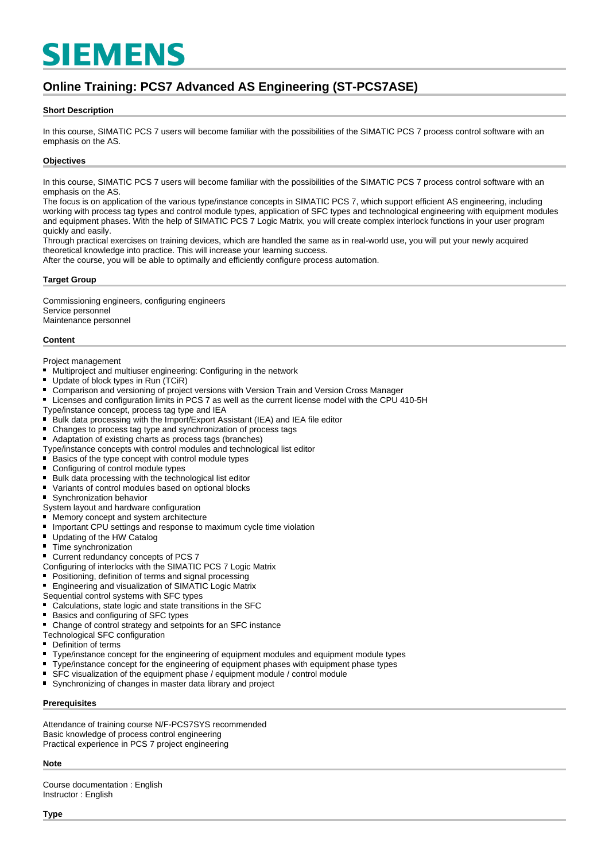# **SIEMENS**

# **Online Training: PCS7 Advanced AS Engineering (ST-PCS7ASE)**

#### **Short Description**

In this course, SIMATIC PCS 7 users will become familiar with the possibilities of the SIMATIC PCS 7 process control software with an emphasis on the AS.

#### **Objectives**

In this course, SIMATIC PCS 7 users will become familiar with the possibilities of the SIMATIC PCS 7 process control software with an emphasis on the AS.

The focus is on application of the various type/instance concepts in SIMATIC PCS 7, which support efficient AS engineering, including working with process tag types and control module types, application of SFC types and technological engineering with equipment modules and equipment phases. With the help of SIMATIC PCS 7 Logic Matrix, you will create complex interlock functions in your user program quickly and easily.

Through practical exercises on training devices, which are handled the same as in real-world use, you will put your newly acquired theoretical knowledge into practice. This will increase your learning success.

After the course, you will be able to optimally and efficiently configure process automation.

#### **Target Group**

Commissioning engineers, configuring engineers Service personnel Maintenance personnel

#### **Content**

Project management

- Multiproject and multiuser engineering: Configuring in the network
- $\blacksquare$ Update of block types in Run (TCiR)
- $\blacksquare$ Comparison and versioning of project versions with Version Train and Version Cross Manager
- $\blacksquare$ Licenses and configuration limits in PCS 7 as well as the current license model with the CPU 410-5H
- Type/instance concept, process tag type and IEA<br>■ Bulk data processing with the Import/Export As
- Bulk data processing with the Import/Export Assistant (IEA) and IEA file editor
- Changes to process tag type and synchronization of process tags
- Adaptation of existing charts as process tags (branches)
- Type/instance concepts with control modules and technological list editor
- $\blacksquare$  Basics of the type concept with control module types
- Configuring of control module types
- $\blacksquare$ Bulk data processing with the technological list editor
- $\blacksquare$ Variants of control modules based on optional blocks
- $\blacksquare$ Synchronization behavior
- System layout and hardware configuration
- Memory concept and system architecture
- $\blacksquare$ Important CPU settings and response to maximum cycle time violation
- $\blacksquare$ Updating of the HW Catalog
- $\blacksquare$ Time synchronization
- $\blacksquare$ Current redundancy concepts of PCS 7
- Configuring of interlocks with the SIMATIC PCS 7 Logic Matrix
- $\blacksquare$ Positioning, definition of terms and signal processing
- $\blacksquare$ Engineering and visualization of SIMATIC Logic Matrix
- Sequential control systems with SFC types
- Calculations, state logic and state transitions in the SFC
- Basics and configuring of SFC types
- Change of control strategy and setpoints for an SFC instance
- Technological SFC configuration
- $\blacksquare$ Definition of terms
- $\blacksquare$ Type/instance concept for the engineering of equipment modules and equipment module types
- Type/instance concept for the engineering of equipment phases with equipment phase types
- SFC visualization of the equipment phase / equipment module / control module
- $\blacksquare$ Synchronizing of changes in master data library and project

#### **Prerequisites**

Attendance of training course N/F-PCS7SYS recommended Basic knowledge of process control engineering Practical experience in PCS 7 project engineering

#### **Note**

Course documentation : English Instructor : English